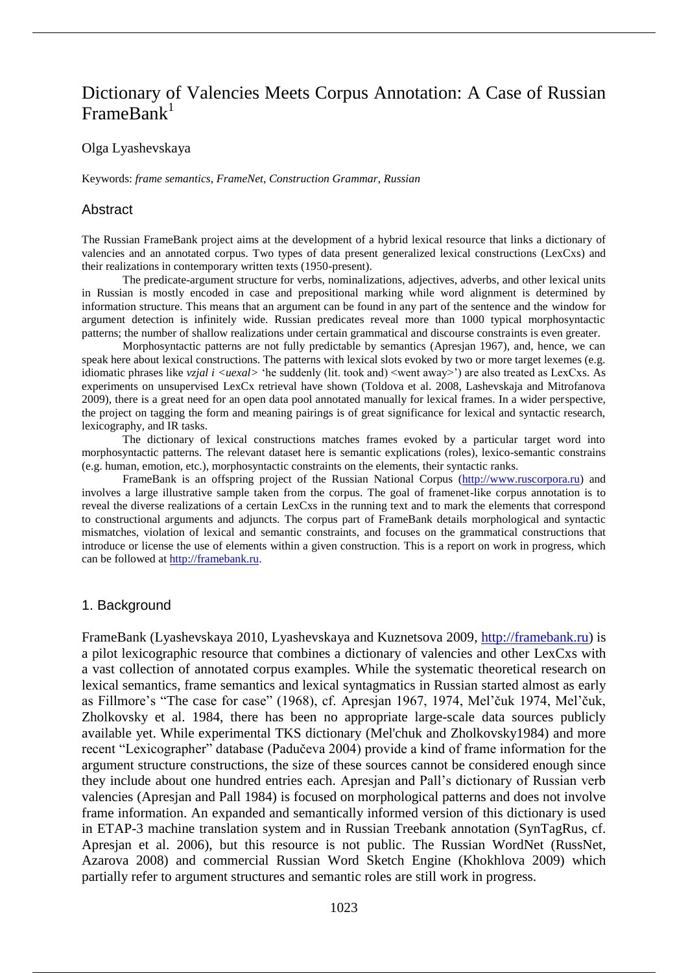# Dictionary of Valencies Meets Corpus Annotation: A Case of Russian  $\text{FrameRank}^1$

## Olga Lyashevskaya

Keywords: *frame semantics*, *FrameNet*, *Construction Grammar*, *Russian*

#### Abstract

The Russian FrameBank project aims at the development of a hybrid lexical resource that links a dictionary of valencies and an annotated corpus. Two types of data present generalized lexical constructions (LexCxs) and their realizations in contemporary written texts (1950-present).

The predicate-argument structure for verbs, nominalizations, adjectives, adverbs, and other lexical units in Russian is mostly encoded in case and prepositional marking while word alignment is determined by information structure. This means that an argument can be found in any part of the sentence and the window for argument detection is infinitely wide. Russian predicates reveal more than 1000 typical morphosyntactic patterns; the number of shallow realizations under certain grammatical and discourse constraints is even greater.

Morphosyntactic patterns are not fully predictable by semantics (Apresjan 1967), and, hence, we can speak here about lexical constructions. The patterns with lexical slots evoked by two or more target lexemes (e.g. idiomatic phrases like *vzjal i <uexal*> 'he suddenly (lit. took and) <went away>') are also treated as LexCxs. As experiments on unsupervised LexCx retrieval have shown (Toldova et al. 2008, Lashevskaja and Mitrofanova 2009), there is a great need for an open data pool annotated manually for lexical frames. In a wider perspective, the project on tagging the form and meaning pairings is of great significance for lexical and syntactic research, lexicography, and IR tasks.

The dictionary of lexical constructions matches frames evoked by a particular target word into morphosyntactic patterns. The relevant dataset here is semantic explications (roles), lexico-semantic constrains (e.g. human, emotion, etc.), morphosyntactic constraints on the elements, their syntactic ranks.

FrameBank is an offspring project of the Russian National Corpus (http://www.ruscorpora.ru) and involves a large illustrative sample taken from the corpus. The goal of framenet-like corpus annotation is to reveal the diverse realizations of a certain LexCxs in the running text and to mark the elements that correspond to constructional arguments and adjuncts. The corpus part of FrameBank details morphological and syntactic mismatches, violation of lexical and semantic constraints, and focuses on the grammatical constructions that introduce or license the use of elements within a given construction. This is a report on work in progress, which can be followed at http://framebank.ru.

#### 1. Background

FrameBank (Lyashevskaya 2010, Lyashevskaya and Kuznetsova 2009, http://framebank.ru) is a pilot lexicographic resource that combines a dictionary of valencies and other LexCxs with a vast collection of annotated corpus examples. While the systematic theoretical research on lexical semantics, frame semantics and lexical syntagmatics in Russian started almost as early as Fillmore's "The case for case" (1968), cf. Apresjan 1967, 1974, Mel'čuk 1974, Mel'čuk, Zholkovsky et al. 1984, there has been no appropriate large-scale data sources publicly available yet. While experimental TKS dictionary (Mel'chuk and Zholkovsky1984) and more recent "Lexicographer" database (Padučeva 2004) provide a kind of frame information for the argument structure constructions, the size of these sources cannot be considered enough since they include about one hundred entries each. Apresjan and Pall's dictionary of Russian verb valencies (Apresjan and Pall 1984) is focused on morphological patterns and does not involve frame information. An expanded and semantically informed version of this dictionary is used in ETAP-3 machine translation system and in Russian Treebank annotation (SynTagRus, cf. Apresjan et al. 2006), but this resource is not public. The Russian WordNet (RussNet, Azarova 2008) and commercial Russian Word Sketch Engine (Khokhlova 2009) which partially refer to argument structures and semantic roles are still work in progress.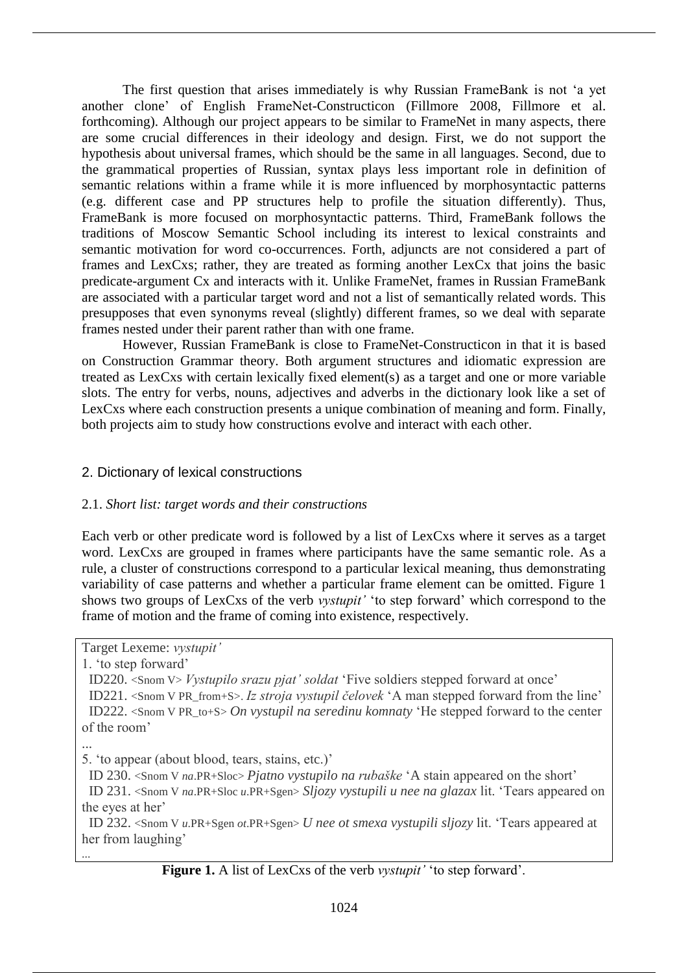The first question that arises immediately is why Russian FrameBank is not 'a yet another clone' of English FrameNet-Constructicon (Fillmore 2008, Fillmore et al. forthcoming). Although our project appears to be similar to FrameNet in many aspects, there are some crucial differences in their ideology and design. First, we do not support the hypothesis about universal frames, which should be the same in all languages. Second, due to the grammatical properties of Russian, syntax plays less important role in definition of semantic relations within a frame while it is more influenced by morphosyntactic patterns (e.g. different case and PP structures help to profile the situation differently). Thus, FrameBank is more focused on morphosyntactic patterns. Third, FrameBank follows the traditions of Moscow Semantic School including its interest to lexical constraints and semantic motivation for word co-occurrences. Forth, adjuncts are not considered a part of frames and LexCxs; rather, they are treated as forming another LexCx that joins the basic predicate-argument Cx and interacts with it. Unlike FrameNet, frames in Russian FrameBank are associated with a particular target word and not a list of semantically related words. This presupposes that even synonyms reveal (slightly) different frames, so we deal with separate frames nested under their parent rather than with one frame.

However, Russian FrameBank is close to FrameNet-Constructicon in that it is based on Construction Grammar theory. Both argument structures and idiomatic expression are treated as LexCxs with certain lexically fixed element(s) as a target and one or more variable slots. The entry for verbs, nouns, adjectives and adverbs in the dictionary look like a set of LexCxs where each construction presents a unique combination of meaning and form. Finally, both projects aim to study how constructions evolve and interact with each other.

# 2. Dictionary of lexical constructions

# 2.1. *Short list: target words and their constructions*

Each verb or other predicate word is followed by a list of LexCxs where it serves as a target word. LexCxs are grouped in frames where participants have the same semantic role. As a rule, a cluster of constructions correspond to a particular lexical meaning, thus demonstrating variability of case patterns and whether a particular frame element can be omitted. Figure 1 shows two groups of LexCxs of the verb *vystupit'* 'to step forward' which correspond to the frame of motion and the frame of coming into existence, respectively.

Target Lexeme: *vystupit'*

1. 'to step forward'

 ID220. <Snom V> *Vystupilo srazu pjat' soldat* 'Five soldiers stepped forward at once' ID221. <Snom V PR\_from+S>. *Iz stroja vystupil čelovek* 'A man stepped forward from the line' ID222. <Snom V PR\_to+S> *On vystupil na seredinu komnaty* 'He stepped forward to the center of the room'

...

...

5. 'to appear (about blood, tears, stains, etc.)'

ID 230. <Snom V *na*.PR+Sloc> *Pjatno vystupilo na rubaške* 'A stain appeared on the short'

 ID 231. <Snom V *na*.PR+Sloc *u*.PR+Sgen> *Sljozy vystupili u nee na glazax* lit. 'Tears appeared on the eyes at her'

 ID 232. <Snom V *u*.PR+Sgen *ot*.PR+Sgen> *U nee ot smexa vystupili sljozy* lit. 'Tears appeared at her from laughing'

**Figure 1.** A list of LexCxs of the verb *vystupit'* 'to step forward'.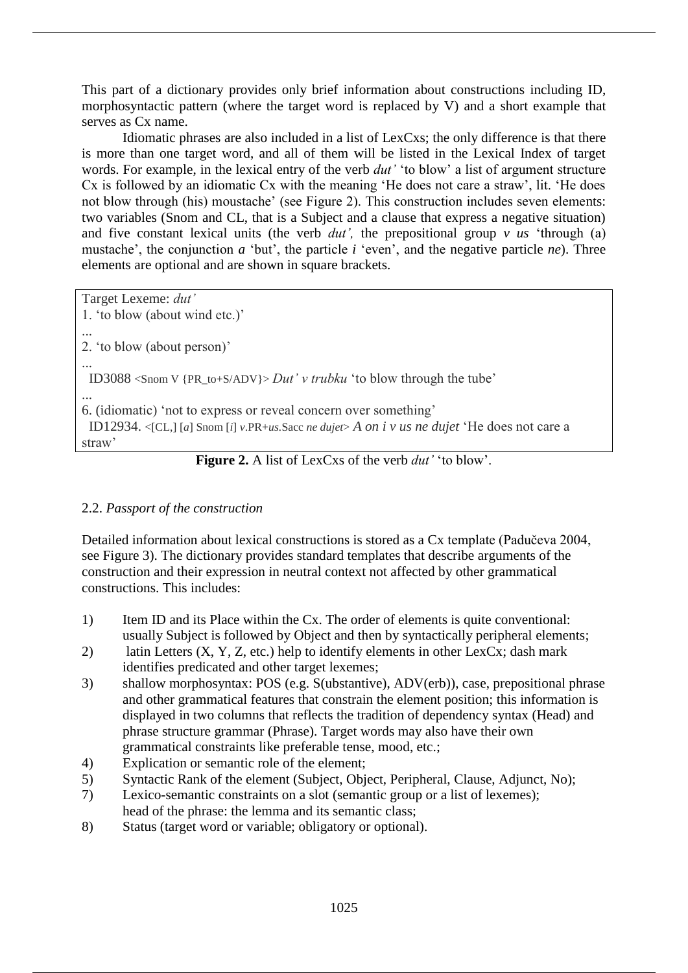This part of a dictionary provides only brief information about constructions including ID, morphosyntactic pattern (where the target word is replaced by V) and a short example that serves as Cx name.

Idiomatic phrases are also included in a list of LexCxs; the only difference is that there is more than one target word, and all of them will be listed in the Lexical Index of target words. For example, in the lexical entry of the verb *dut'* 'to blow' a list of argument structure Cx is followed by an idiomatic Cx with the meaning 'He does not care a straw', lit. 'He does not blow through (his) moustache' (see Figure 2). This construction includes seven elements: two variables (Snom and CL, that is a Subject and a clause that express a negative situation) and five constant lexical units (the verb *dut',* the prepositional group *v us* 'through (a) mustache', the conjunction *a* 'but', the particle *i* 'even', and the negative particle *ne*). Three elements are optional and are shown in square brackets.

Target Lexeme: *dut'*

```
1. 'to blow (about wind etc.)'
...
2. 'to blow (about person)'
...
 ID3088 <Snom V {PR_to+S/ADV}> Dut' v trubku 'to blow through the tube'
...
6. (idiomatic) 'not to express or reveal concern over something'
  ID12934. <[CL,] [a] Snom [i] v.PR+us.Sacc ne dujet> A on i v us ne dujet 'He does not care a 
straw'
                     Figure 2. A list of LexCxs of the verb dut' 'to blow'.
```
# 2.2. *Passport of the construction*

Detailed information about lexical constructions is stored as a Cx template (Padučeva 2004, see Figure 3). The dictionary provides standard templates that describe arguments of the construction and their expression in neutral context not affected by other grammatical constructions. This includes:

- 1) Item ID and its Place within the Cx. The order of elements is quite conventional: usually Subject is followed by Object and then by syntactically peripheral elements;
- 2) latin Letters (X, Y, Z, etc.) help to identify elements in other LexCx; dash mark identifies predicated and other target lexemes;
- 3) shallow morphosyntax: POS (e.g. S(ubstantive), ADV(erb)), case, prepositional phrase and other grammatical features that constrain the element position; this information is displayed in two columns that reflects the tradition of dependency syntax (Head) and phrase structure grammar (Phrase). Target words may also have their own grammatical constraints like preferable tense, mood, etc.;
- 4) Explication or semantic role of the element;
- 5) Syntactic Rank of the element (Subject, Object, Peripheral, Clause, Adjunct, No);
- 7) Lexico-semantic constraints on a slot (semantic group or a list of lexemes); head of the phrase: the lemma and its semantic class;
- 8) Status (target word or variable; obligatory or optional).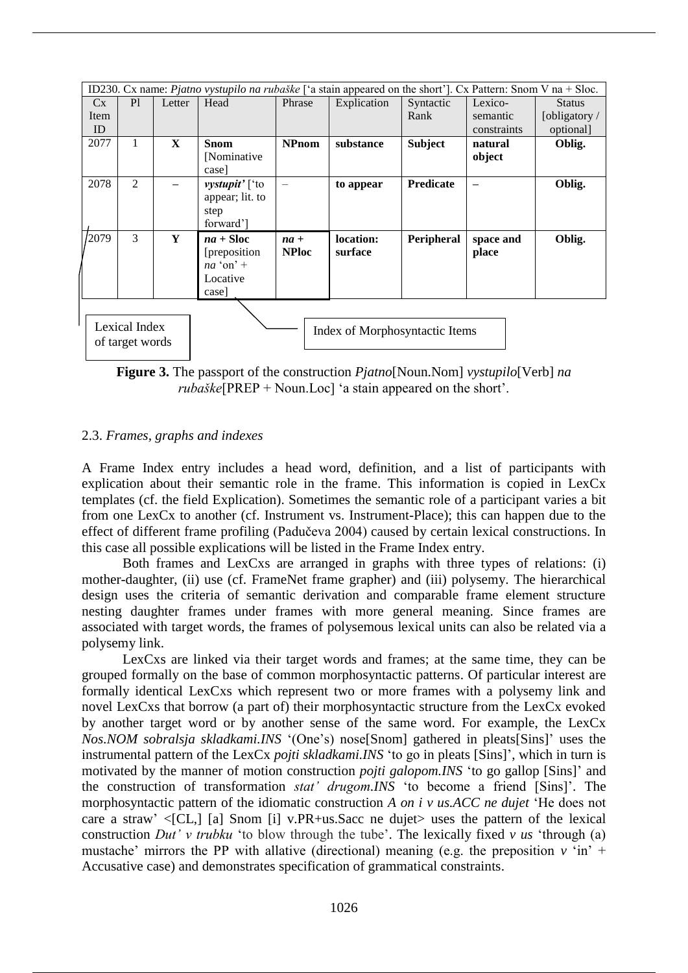| ID230. Cx name: <i>Pjatno vystupilo na rubaške</i> ['a stain appeared on the short']. Cx Pattern: Snom V na + Sloc. |    |              |                                |              |             |                   |             |               |  |  |  |  |
|---------------------------------------------------------------------------------------------------------------------|----|--------------|--------------------------------|--------------|-------------|-------------------|-------------|---------------|--|--|--|--|
| $C_{X}$                                                                                                             | P1 | Letter       | Head                           | Phrase       | Explication | Syntactic         | Lexico-     | <b>Status</b> |  |  |  |  |
| Item                                                                                                                |    |              |                                |              |             | Rank              | semantic    | [obligatory / |  |  |  |  |
| ID                                                                                                                  |    |              |                                |              |             |                   | constraints | optional]     |  |  |  |  |
| 2077                                                                                                                | 1  | $\mathbf{x}$ | <b>Snom</b>                    | <b>NPnom</b> | substance   | <b>Subject</b>    | natural     | Oblig.        |  |  |  |  |
|                                                                                                                     |    |              | [Nominative]                   |              |             |                   | object      |               |  |  |  |  |
|                                                                                                                     |    |              | case                           |              |             |                   |             |               |  |  |  |  |
| 2078                                                                                                                | 2  |              | <i>vystupit'</i> ['to          |              | to appear   | <b>Predicate</b>  |             | Oblig.        |  |  |  |  |
|                                                                                                                     |    |              | appear; lit. to                |              |             |                   |             |               |  |  |  |  |
|                                                                                                                     |    |              | step                           |              |             |                   |             |               |  |  |  |  |
|                                                                                                                     |    |              | forward']                      |              |             |                   |             |               |  |  |  |  |
| /2079                                                                                                               | 3  | Y            | $na + Sloc$                    | $na +$       | location:   | <b>Peripheral</b> | space and   | Oblig.        |  |  |  |  |
|                                                                                                                     |    |              | [preposition]                  | <b>NPloc</b> | surface     |                   | place       |               |  |  |  |  |
|                                                                                                                     |    |              | $na'$ on' +                    |              |             |                   |             |               |  |  |  |  |
|                                                                                                                     |    |              | Locative                       |              |             |                   |             |               |  |  |  |  |
|                                                                                                                     |    |              | case                           |              |             |                   |             |               |  |  |  |  |
|                                                                                                                     |    |              |                                |              |             |                   |             |               |  |  |  |  |
|                                                                                                                     |    |              |                                |              |             |                   |             |               |  |  |  |  |
| Lexical Index                                                                                                       |    |              | Index of Morphosyntactic Items |              |             |                   |             |               |  |  |  |  |
| of target words                                                                                                     |    |              |                                |              |             |                   |             |               |  |  |  |  |

**Figure 3.** The passport of the construction *Pjatno*[Noun.Nom] *vystupilo*[Verb] *na rubaške*[PREP + Noun.Loc] 'a stain appeared on the short'.

## 2.3. *Frames, graphs and indexes*

A Frame Index entry includes a head word, definition, and a list of participants with explication about their semantic role in the frame. This information is copied in LexCx templates (cf. the field Explication). Sometimes the semantic role of a participant varies a bit from one LexCx to another (cf. Instrument vs. Instrument-Place); this can happen due to the effect of different frame profiling (Padučeva 2004) caused by certain lexical constructions. In this case all possible explications will be listed in the Frame Index entry.

Both frames and LexCxs are arranged in graphs with three types of relations: (i) mother-daughter, (ii) use (cf. FrameNet frame grapher) and (iii) polysemy. The hierarchical design uses the criteria of semantic derivation and comparable frame element structure nesting daughter frames under frames with more general meaning. Since frames are associated with target words, the frames of polysemous lexical units can also be related via a polysemy link.

LexCxs are linked via their target words and frames; at the same time, they can be grouped formally on the base of common morphosyntactic patterns. Of particular interest are formally identical LexCxs which represent two or more frames with a polysemy link and novel LexCxs that borrow (a part of) their morphosyntactic structure from the LexCx evoked by another target word or by another sense of the same word. For example, the LexCx *Nos.NOM sobralsja skladkami.INS* '(One's) nose[Snom] gathered in pleats[Sins]' uses the instrumental pattern of the LexCx *pojti skladkami.INS* 'to go in pleats [Sins]', which in turn is motivated by the manner of motion construction *pojti galopom.INS* 'to go gallop [Sins]' and the construction of transformation *stat' drugom.INS* 'to become a friend [Sins]'. The morphosyntactic pattern of the idiomatic construction *A on i v us.ACC ne dujet* 'He does not care a straw'  $\langle$ [CL,] [a] Snom [i] v.PR+us.Sacc ne dujet uses the pattern of the lexical construction *Dut' v trubku* 'to blow through the tube'. The lexically fixed *v us* 'through (a) mustache' mirrors the PP with allative (directional) meaning (e.g. the preposition  $v \sin^2 t$ Accusative case) and demonstrates specification of grammatical constraints.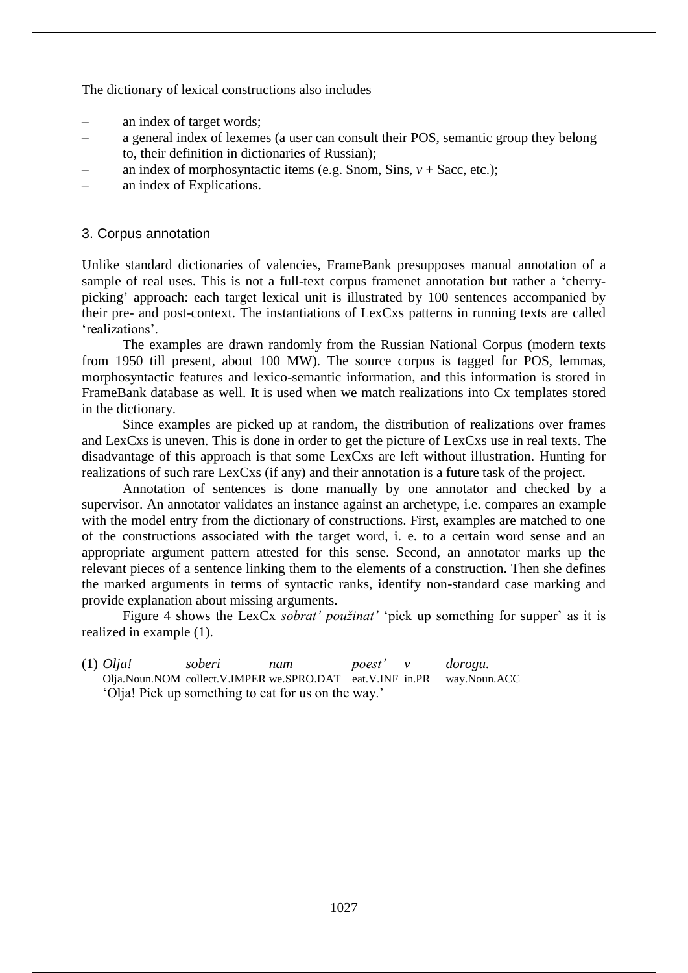The dictionary of lexical constructions also includes

- ‒ an index of target words;
- ‒ a general index of lexemes (a user can consult their POS, semantic group they belong to, their definition in dictionaries of Russian);
- an index of morphosyntactic items (e.g. Snom, Sins,  $v +$  Sacc, etc.);
- ‒ an index of Explications.

# 3. Corpus annotation

Unlike standard dictionaries of valencies, FrameBank presupposes manual annotation of a sample of real uses. This is not a full-text corpus framenet annotation but rather a 'cherrypicking' approach: each target lexical unit is illustrated by 100 sentences accompanied by their pre- and post-context. The instantiations of LexCxs patterns in running texts are called 'realizations'.

The examples are drawn randomly from the Russian National Corpus (modern texts from 1950 till present, about 100 MW). The source corpus is tagged for POS, lemmas, morphosyntactic features and lexico-semantic information, and this information is stored in FrameBank database as well. It is used when we match realizations into Cx templates stored in the dictionary.

Since examples are picked up at random, the distribution of realizations over frames and LexCxs is uneven. This is done in order to get the picture of LexCxs use in real texts. The disadvantage of this approach is that some LexCxs are left without illustration. Hunting for realizations of such rare LexCxs (if any) and their annotation is a future task of the project.

Annotation of sentences is done manually by one annotator and checked by a supervisor. An annotator validates an instance against an archetype, i.e. compares an example with the model entry from the dictionary of constructions. First, examples are matched to one of the constructions associated with the target word, i. e. to a certain word sense and an appropriate argument pattern attested for this sense. Second, an annotator marks up the relevant pieces of a sentence linking them to the elements of a construction. Then she defines the marked arguments in terms of syntactic ranks, identify non-standard case marking and provide explanation about missing arguments.

Figure 4 shows the LexCx *sobrat' použinat'* 'pick up something for supper' as it is realized in example (1).

(1) *Olja! soberi nam poest' v dorogu.*  Olja.Noun.NOM collect.V.IMPER we.SPRO.DAT eat.V.INF in.PR way.Noun.ACC 'Olja! Pick up something to eat for us on the way.'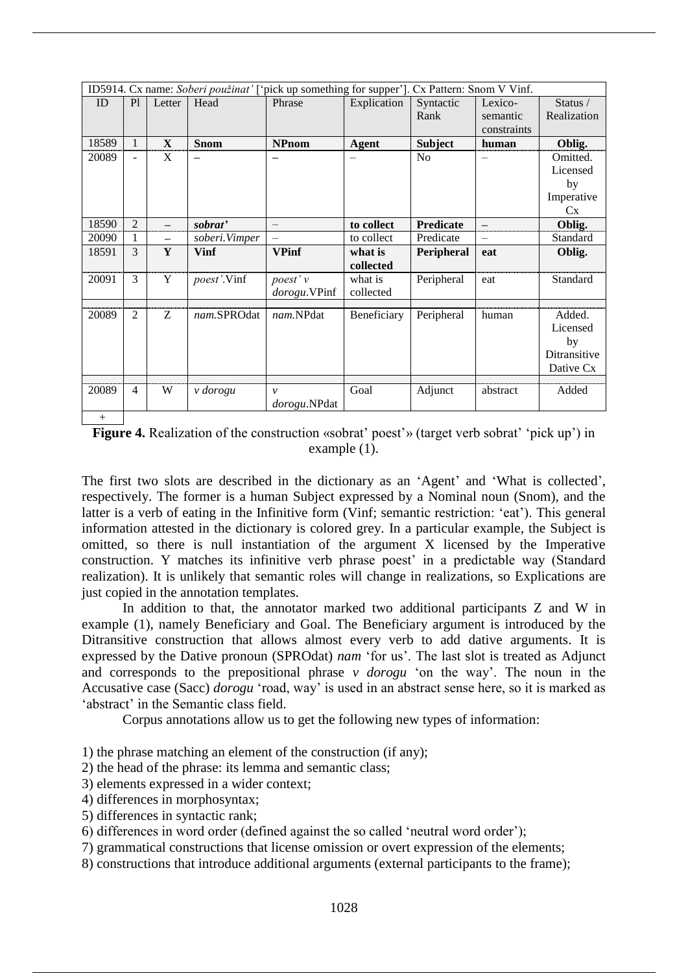| ID5914. Cx name: Soberi použinat' ['pick up something for supper']. Cx Pattern: Snom V Vinf. |                |                          |                     |               |                      |                  |                          |                    |  |  |
|----------------------------------------------------------------------------------------------|----------------|--------------------------|---------------------|---------------|----------------------|------------------|--------------------------|--------------------|--|--|
| ID                                                                                           | P1             | Letter                   | Head                | Phrase        | Explication          | Syntactic        | Lexico-                  | Status /           |  |  |
|                                                                                              |                |                          |                     |               |                      | Rank             | semantic                 | Realization        |  |  |
|                                                                                              |                |                          |                     |               |                      |                  | constraints              |                    |  |  |
| 18589                                                                                        | $\mathbf{1}$   | $\mathbf{X}$             | <b>Snom</b>         | <b>NPnom</b>  | <b>Agent</b>         | <b>Subject</b>   | human                    | Oblig.             |  |  |
| 20089                                                                                        | $\overline{a}$ | X                        |                     |               |                      | N <sub>0</sub>   |                          | Omitted.           |  |  |
|                                                                                              |                |                          |                     |               |                      |                  |                          | Licensed           |  |  |
|                                                                                              |                |                          |                     |               |                      |                  |                          | by                 |  |  |
|                                                                                              |                |                          |                     |               |                      |                  |                          | Imperative         |  |  |
|                                                                                              |                |                          |                     |               |                      |                  |                          | Cx                 |  |  |
| 18590                                                                                        | $\overline{2}$ |                          | sobrat'             |               | to collect           | <b>Predicate</b> |                          | Oblig.             |  |  |
| 20090                                                                                        | 1              | $\overline{\phantom{0}}$ | soberi.Vimper       |               | to collect           | Predicate        | $\overline{\phantom{0}}$ | Standard           |  |  |
| 18591                                                                                        | 3              | Y                        | <b>Vinf</b>         | <b>VPinf</b>  | what is<br>collected | Peripheral       | eat                      | Oblig.             |  |  |
| 20091                                                                                        | 3              | Y                        | <i>poest</i> '.Vinf | poest' v      | what is              | Peripheral       | eat                      | Standard           |  |  |
|                                                                                              |                |                          |                     | dorogu.VPinf  | collected            |                  |                          |                    |  |  |
|                                                                                              |                |                          |                     |               |                      |                  |                          |                    |  |  |
| 20089                                                                                        | 2              | Z                        | nam.SPROdat         | nam.NPdat     | Beneficiary          | Peripheral       | human                    | Added.             |  |  |
|                                                                                              |                |                          |                     |               |                      |                  |                          | Licensed           |  |  |
|                                                                                              |                |                          |                     |               |                      |                  |                          | by<br>Ditransitive |  |  |
|                                                                                              |                |                          |                     |               |                      |                  |                          |                    |  |  |
|                                                                                              |                |                          |                     |               |                      |                  |                          | Dative Cx          |  |  |
| 20089                                                                                        | $\overline{4}$ | W                        | v dorogu            | $\mathcal{V}$ | Goal                 | Adjunct          | abstract                 | Added              |  |  |
|                                                                                              |                |                          |                     | dorogu.NPdat  |                      |                  |                          |                    |  |  |
| $+$                                                                                          |                |                          |                     |               |                      |                  |                          |                    |  |  |

**Figure 4.** Realization of the construction «sobrat' poest'» (target verb sobrat' 'pick up') in example (1).

The first two slots are described in the dictionary as an 'Agent' and 'What is collected', respectively. The former is a human Subject expressed by a Nominal noun (Snom), and the latter is a verb of eating in the Infinitive form (Vinf; semantic restriction: 'eat'). This general information attested in the dictionary is colored grey. In a particular example, the Subject is omitted, so there is null instantiation of the argument X licensed by the Imperative construction. Y matches its infinitive verb phrase poest' in a predictable way (Standard realization). It is unlikely that semantic roles will change in realizations, so Explications are just copied in the annotation templates.

In addition to that, the annotator marked two additional participants Z and W in example (1), namely Beneficiary and Goal. The Beneficiary argument is introduced by the Ditransitive construction that allows almost every verb to add dative arguments. It is expressed by the Dative pronoun (SPROdat) *nam* 'for us'. The last slot is treated as Adjunct and corresponds to the prepositional phrase *v dorogu* 'on the way'. The noun in the Accusative case (Sacc) *dorogu* 'road, way' is used in an abstract sense here, so it is marked as 'abstract' in the Semantic class field.

Corpus annotations allow us to get the following new types of information:

1) the phrase matching an element of the construction (if any);

2) the head of the phrase: its lemma and semantic class;

3) elements expressed in a wider context;

- 4) differences in morphosyntax;
- 5) differences in syntactic rank;

6) differences in word order (defined against the so called 'neutral word order');

- 7) grammatical constructions that license omission or overt expression of the elements;
- 8) constructions that introduce additional arguments (external participants to the frame);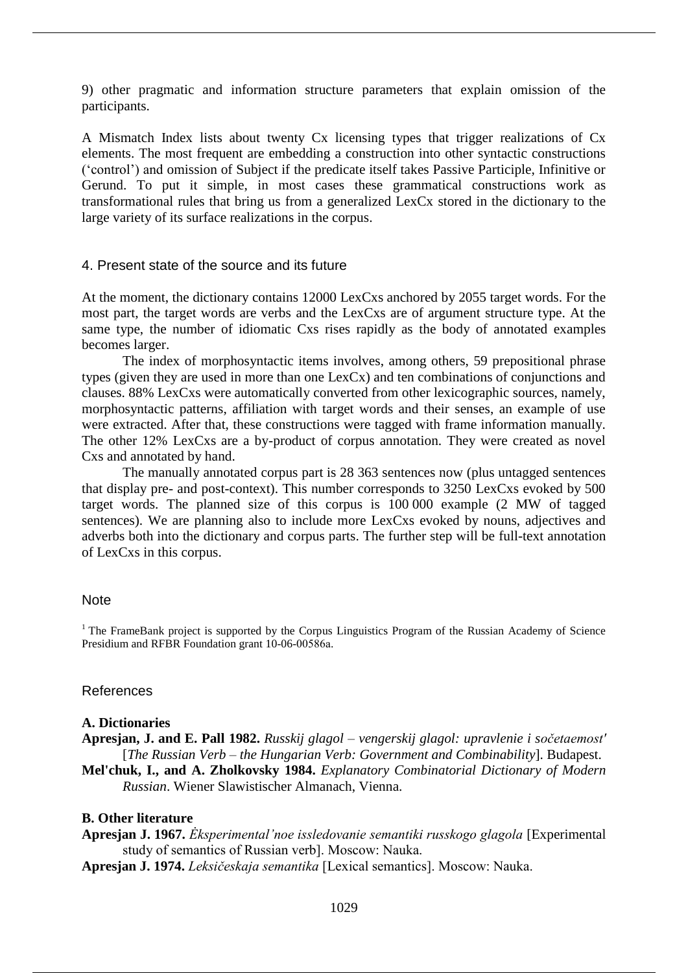9) other pragmatic and information structure parameters that explain omission of the participants.

A Mismatch Index lists about twenty Cx licensing types that trigger realizations of Cx elements. The most frequent are embedding a construction into other syntactic constructions ('control') and omission of Subject if the predicate itself takes Passive Participle, Infinitive or Gerund. To put it simple, in most cases these grammatical constructions work as transformational rules that bring us from a generalized LexCx stored in the dictionary to the large variety of its surface realizations in the corpus.

## 4. Present state of the source and its future

At the moment, the dictionary contains 12000 LexCxs anchored by 2055 target words. For the most part, the target words are verbs and the LexCxs are of argument structure type. At the same type, the number of idiomatic Cxs rises rapidly as the body of annotated examples becomes larger.

The index of morphosyntactic items involves, among others, 59 prepositional phrase types (given they are used in more than one LexCx) and ten combinations of conjunctions and clauses. 88% LexCxs were automatically converted from other lexicographic sources, namely, morphosyntactic patterns, affiliation with target words and their senses, an example of use were extracted. After that, these constructions were tagged with frame information manually. The other 12% LexCxs are a by-product of corpus annotation. They were created as novel Cxs and annotated by hand.

The manually annotated corpus part is 28 363 sentences now (plus untagged sentences that display pre- and post-context). This number corresponds to 3250 LexCxs evoked by 500 target words. The planned size of this corpus is 100 000 example (2 MW of tagged sentences). We are planning also to include more LexCxs evoked by nouns, adjectives and adverbs both into the dictionary and corpus parts. The further step will be full-text annotation of LexCxs in this corpus.

#### **Note**

<sup>1</sup> The FrameBank project is supported by the Corpus Linguistics Program of the Russian Academy of Science Presidium and RFBR Foundation grant 10-06-00586а.

#### References

#### **A. Dictionaries**

**Apresjan, J. and E. Pall 1982.** *Russkij glagol – vengerskij glagol: upravlenie i sočetaemost'* [*The Russian Verb – the Hungarian Verb: Government and Combinability*]. Budapest.

**Mel'chuk, I., and A. Zholkovsky 1984.** *Explanatory Combinatorial Dictionary of Modern Russian*. Wiener Slawistischer Almanach, Vienna.

# **B. Other literature**

**Apresjan J. 1967.** *Ėksperimental'noe issledovanie semantiki russkogo glagola* [Experimental study of semantics of Russian verb]. Мoscow: Nauka.

**Apresjan J. 1974.** *Leksičeskaja semantika* [Lexical semantics]. Мoscow: Nauka.